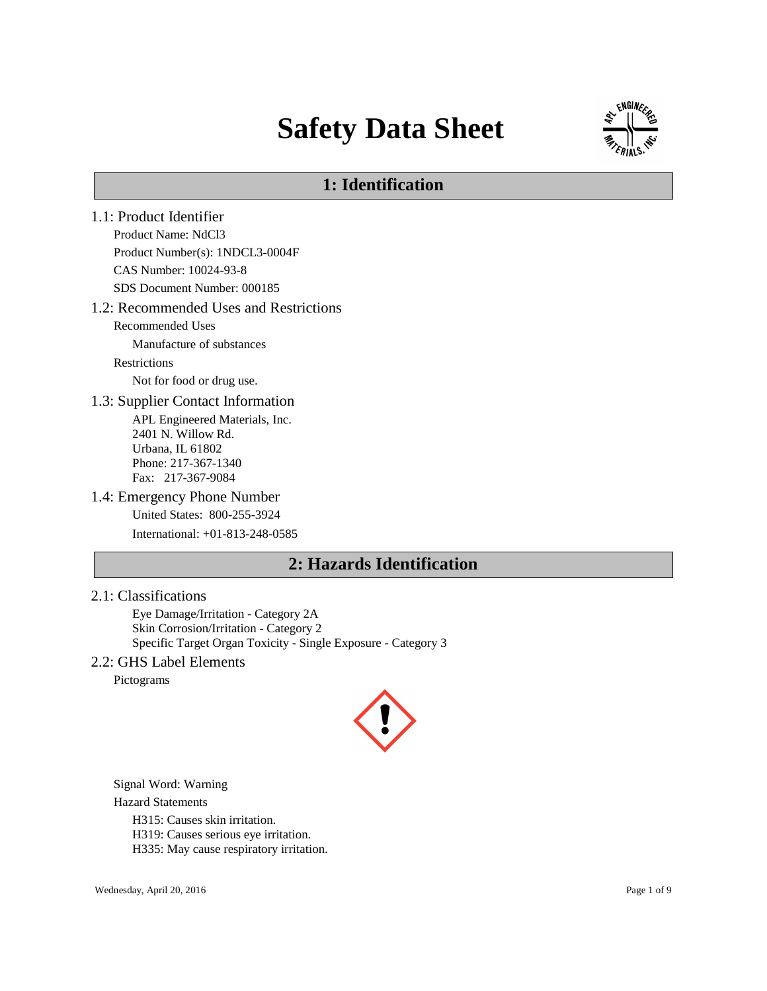# **Safety Data Sheet**



# **1: Identification**

1.1: Product Identifier Product Name: NdCl3 Product Number(s): 1NDCL3-0004F CAS Number: 10024-93-8 SDS Document Number: 000185 1.2: Recommended Uses and Restrictions Recommended Uses Manufacture of substances Restrictions Not for food or drug use. 1.3: Supplier Contact Information APL Engineered Materials, Inc. 2401 N. Willow Rd. Urbana, IL 61802 Phone: 217-367-1340 Fax: 217-367-9084 1.4: Emergency Phone Number United States: 800-255-3924 International: +01-813-248-0585 **2: Hazards Identification**

### 2.1: Classifications

Eye Damage/Irritation - Category 2A Skin Corrosion/Irritation - Category 2 Specific Target Organ Toxicity - Single Exposure - Category 3

### 2.2: GHS Label Elements

Pictograms



Signal Word: Warning

Hazard Statements

H315: Causes skin irritation.

H319: Causes serious eye irritation.

H335: May cause respiratory irritation.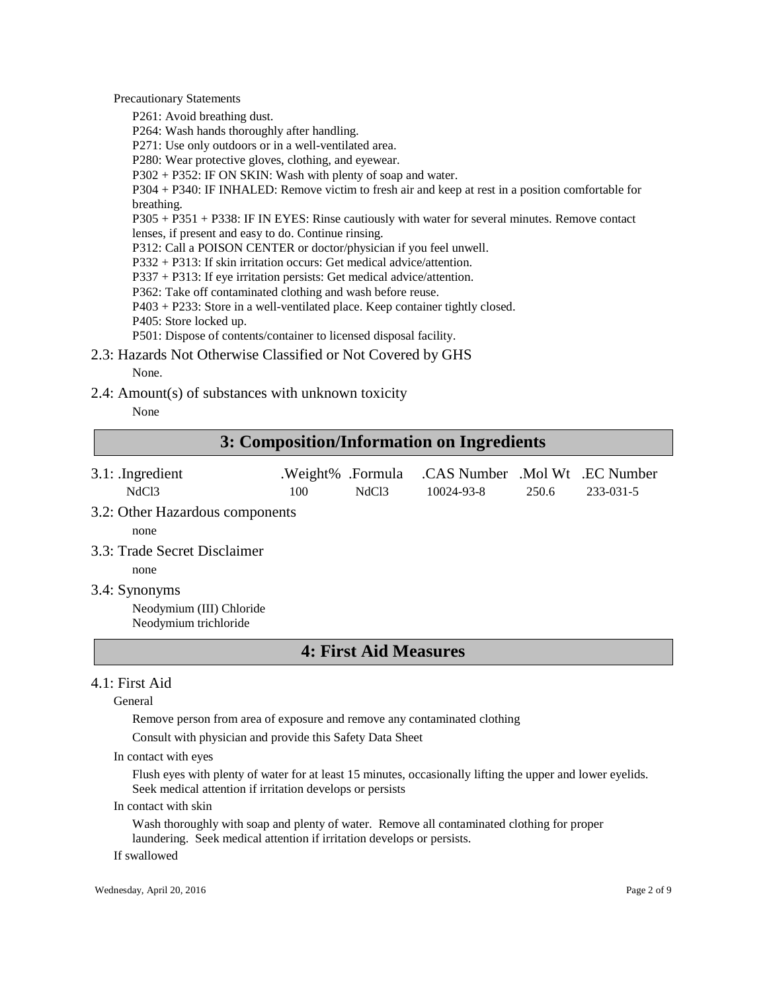Precautionary Statements

P261: Avoid breathing dust.

P264: Wash hands thoroughly after handling.

P271: Use only outdoors or in a well-ventilated area.

P280: Wear protective gloves, clothing, and eyewear.

P302 + P352: IF ON SKIN: Wash with plenty of soap and water.

P304 + P340: IF INHALED: Remove victim to fresh air and keep at rest in a position comfortable for breathing.

P305 + P351 + P338: IF IN EYES: Rinse cautiously with water for several minutes. Remove contact lenses, if present and easy to do. Continue rinsing.

P312: Call a POISON CENTER or doctor/physician if you feel unwell.

P332 + P313: If skin irritation occurs: Get medical advice/attention.

P337 + P313: If eye irritation persists: Get medical advice/attention.

P362: Take off contaminated clothing and wash before reuse.

P403 + P233: Store in a well-ventilated place. Keep container tightly closed.

P405: Store locked up.

P501: Dispose of contents/container to licensed disposal facility.

2.3: Hazards Not Otherwise Classified or Not Covered by GHS None.

2.4: Amount(s) of substances with unknown toxicity

None

# **3: Composition/Information on Ingredients**

- 3.1: .Ingredient .Weight% .Formula .CAS Number .Mol Wt .EC Number NdCl3 100 NdCl3 10024-93-8 250.6 233-031-5
- 3.2: Other Hazardous components

none

3.3: Trade Secret Disclaimer

none

3.4: Synonyms

Neodymium (III) Chloride Neodymium trichloride

# **4: First Aid Measures**

### 4.1: First Aid

General

Remove person from area of exposure and remove any contaminated clothing

Consult with physician and provide this Safety Data Sheet

In contact with eyes

Flush eyes with plenty of water for at least 15 minutes, occasionally lifting the upper and lower eyelids. Seek medical attention if irritation develops or persists

#### In contact with skin

Wash thoroughly with soap and plenty of water. Remove all contaminated clothing for proper laundering. Seek medical attention if irritation develops or persists.

If swallowed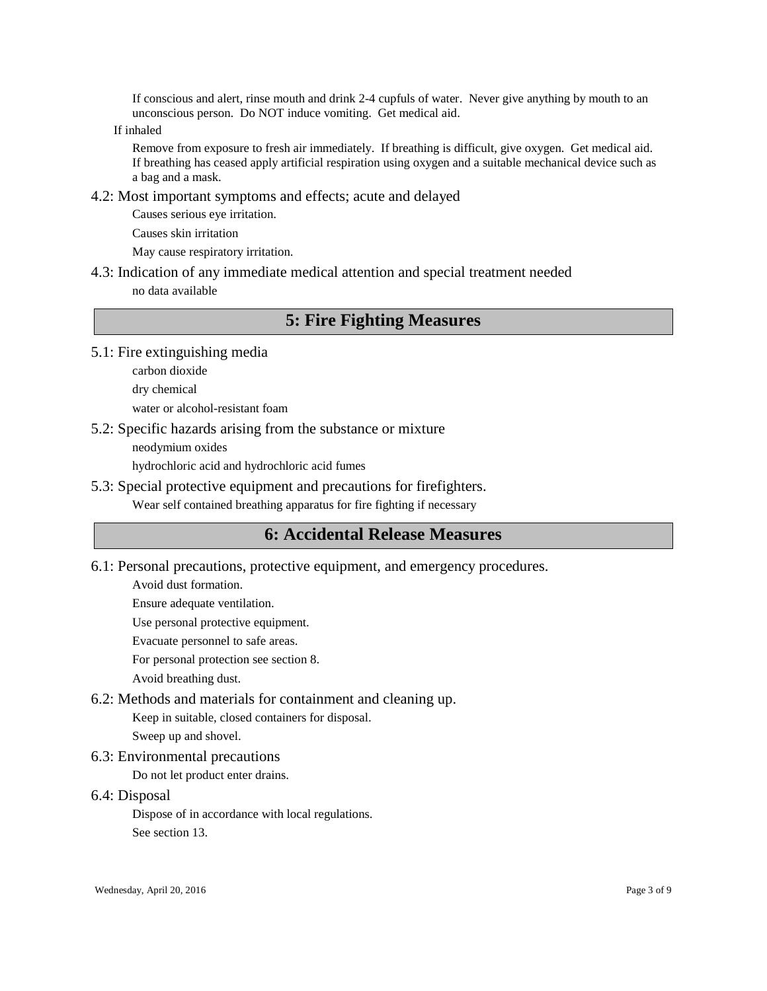If conscious and alert, rinse mouth and drink 2-4 cupfuls of water. Never give anything by mouth to an unconscious person. Do NOT induce vomiting. Get medical aid.

If inhaled

Remove from exposure to fresh air immediately. If breathing is difficult, give oxygen. Get medical aid. If breathing has ceased apply artificial respiration using oxygen and a suitable mechanical device such as a bag and a mask.

4.2: Most important symptoms and effects; acute and delayed

Causes serious eye irritation.

Causes skin irritation

May cause respiratory irritation.

4.3: Indication of any immediate medical attention and special treatment needed no data available

# **5: Fire Fighting Measures**

5.1: Fire extinguishing media

carbon dioxide

dry chemical

water or alcohol-resistant foam

5.2: Specific hazards arising from the substance or mixture

neodymium oxides

hydrochloric acid and hydrochloric acid fumes

5.3: Special protective equipment and precautions for firefighters.

Wear self contained breathing apparatus for fire fighting if necessary

# **6: Accidental Release Measures**

6.1: Personal precautions, protective equipment, and emergency procedures.

Avoid dust formation.

Ensure adequate ventilation.

Use personal protective equipment.

Evacuate personnel to safe areas.

For personal protection see section 8.

Avoid breathing dust.

6.2: Methods and materials for containment and cleaning up.

Keep in suitable, closed containers for disposal.

Sweep up and shovel.

6.3: Environmental precautions

Do not let product enter drains.

6.4: Disposal

Dispose of in accordance with local regulations.

See section 13.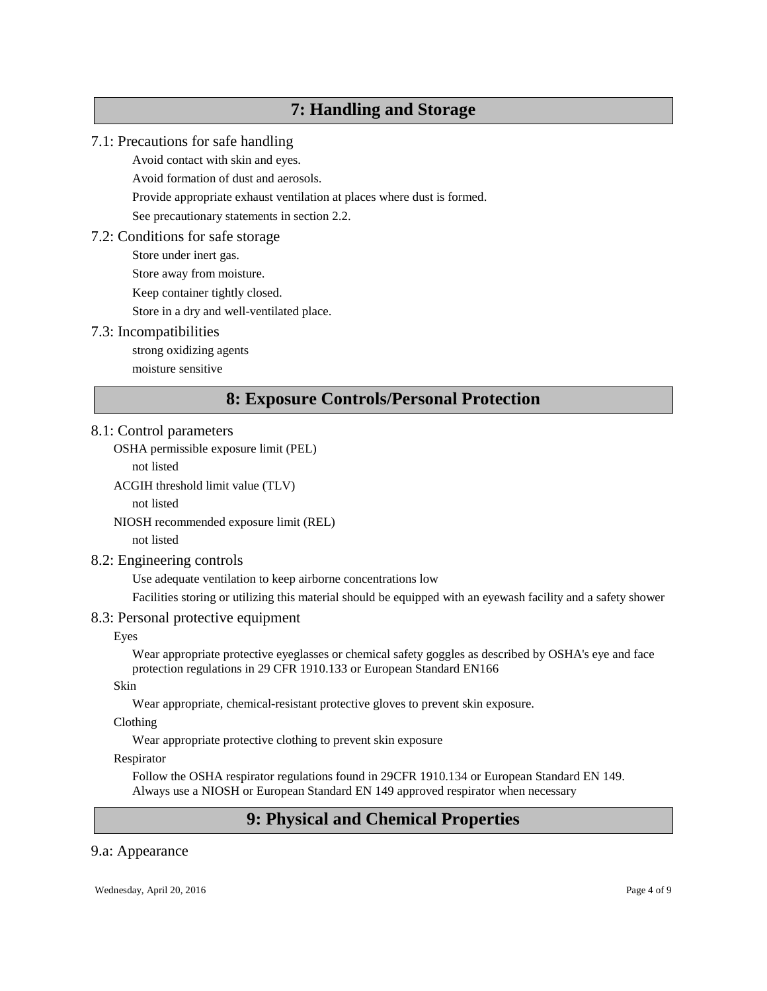# **7: Handling and Storage**

# 7.1: Precautions for safe handling

Avoid contact with skin and eyes.

Avoid formation of dust and aerosols.

Provide appropriate exhaust ventilation at places where dust is formed.

See precautionary statements in section 2.2.

# 7.2: Conditions for safe storage

Store under inert gas.

Store away from moisture.

Keep container tightly closed.

Store in a dry and well-ventilated place.

# 7.3: Incompatibilities

strong oxidizing agents

moisture sensitive

# **8: Exposure Controls/Personal Protection**

### 8.1: Control parameters

OSHA permissible exposure limit (PEL)

not listed

ACGIH threshold limit value (TLV)

not listed

NIOSH recommended exposure limit (REL)

not listed

# 8.2: Engineering controls

Use adequate ventilation to keep airborne concentrations low

Facilities storing or utilizing this material should be equipped with an eyewash facility and a safety shower

# 8.3: Personal protective equipment

#### Eyes

Wear appropriate protective eyeglasses or chemical safety goggles as described by OSHA's eye and face protection regulations in 29 CFR 1910.133 or European Standard EN166

### Skin

Wear appropriate, chemical-resistant protective gloves to prevent skin exposure.

#### Clothing

Wear appropriate protective clothing to prevent skin exposure

#### Respirator

Follow the OSHA respirator regulations found in 29CFR 1910.134 or European Standard EN 149. Always use a NIOSH or European Standard EN 149 approved respirator when necessary

# **9: Physical and Chemical Properties**

# 9.a: Appearance

Wednesday, April 20, 2016 Page 4 of 9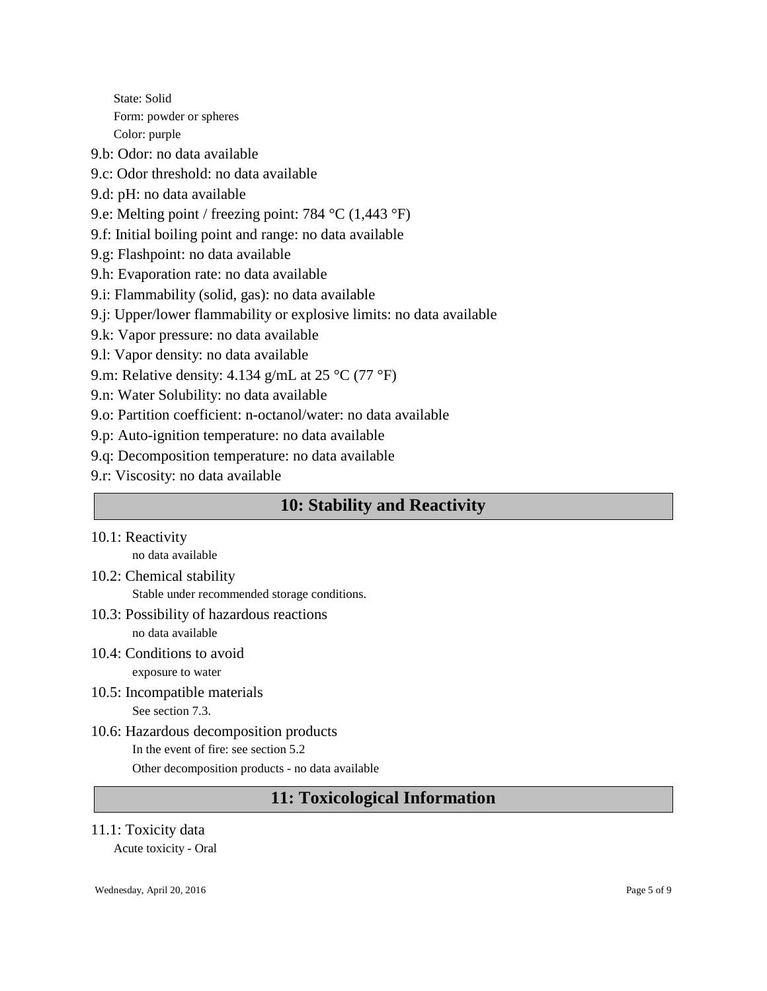State: Solid Form: powder or spheres Color: purple

9.b: Odor: no data available

9.c: Odor threshold: no data available

9.d: pH: no data available

9.e: Melting point / freezing point: 784 °C (1,443 °F)

9.f: Initial boiling point and range: no data available

9.g: Flashpoint: no data available

- 9.h: Evaporation rate: no data available
- 9.i: Flammability (solid, gas): no data available
- 9.j: Upper/lower flammability or explosive limits: no data available
- 9.k: Vapor pressure: no data available
- 9.l: Vapor density: no data available

9.m: Relative density: 4.134 g/mL at 25 °C (77 °F)

9.n: Water Solubility: no data available

9.o: Partition coefficient: n-octanol/water: no data available

9.p: Auto-ignition temperature: no data available

9.q: Decomposition temperature: no data available

9.r: Viscosity: no data available

# **10: Stability and Reactivity**

10.1: Reactivity

no data available

- 10.2: Chemical stability Stable under recommended storage conditions.
- 10.3: Possibility of hazardous reactions no data available
- 10.4: Conditions to avoid exposure to water
- 10.5: Incompatible materials See section 7.3.
- 10.6: Hazardous decomposition products In the event of fire: see section 5.2 Other decomposition products - no data available

# **11: Toxicological Information**

# 11.1: Toxicity data

Acute toxicity - Oral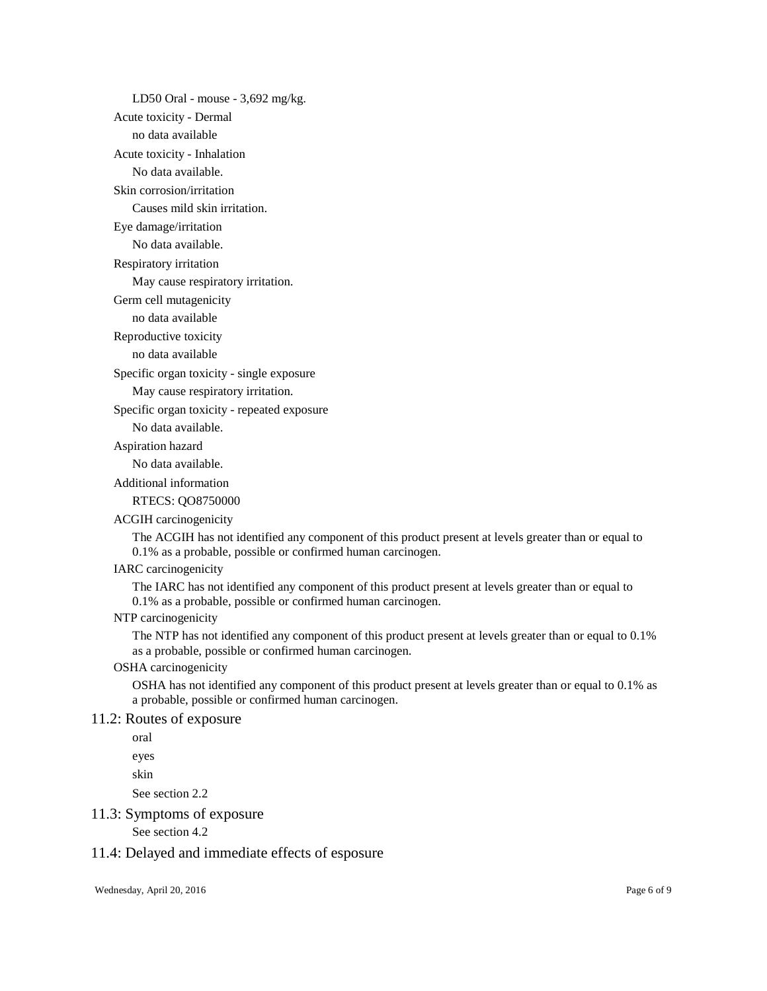LD50 Oral - mouse - 3,692 mg/kg.

Acute toxicity - Dermal

no data available

Acute toxicity - Inhalation

No data available.

#### Skin corrosion/irritation

Causes mild skin irritation.

Eye damage/irritation

No data available.

Respiratory irritation

May cause respiratory irritation.

Germ cell mutagenicity

no data available

Reproductive toxicity

no data available

Specific organ toxicity - single exposure

May cause respiratory irritation.

Specific organ toxicity - repeated exposure

No data available.

Aspiration hazard

No data available.

Additional information

RTECS: QO8750000

#### ACGIH carcinogenicity

The ACGIH has not identified any component of this product present at levels greater than or equal to 0.1% as a probable, possible or confirmed human carcinogen.

#### IARC carcinogenicity

The IARC has not identified any component of this product present at levels greater than or equal to 0.1% as a probable, possible or confirmed human carcinogen.

#### NTP carcinogenicity

The NTP has not identified any component of this product present at levels greater than or equal to 0.1% as a probable, possible or confirmed human carcinogen.

### OSHA carcinogenicity

OSHA has not identified any component of this product present at levels greater than or equal to 0.1% as a probable, possible or confirmed human carcinogen.

#### 11.2: Routes of exposure

oral

eyes

skin

See section 2.2

### 11.3: Symptoms of exposure

See section 4.2

### 11.4: Delayed and immediate effects of esposure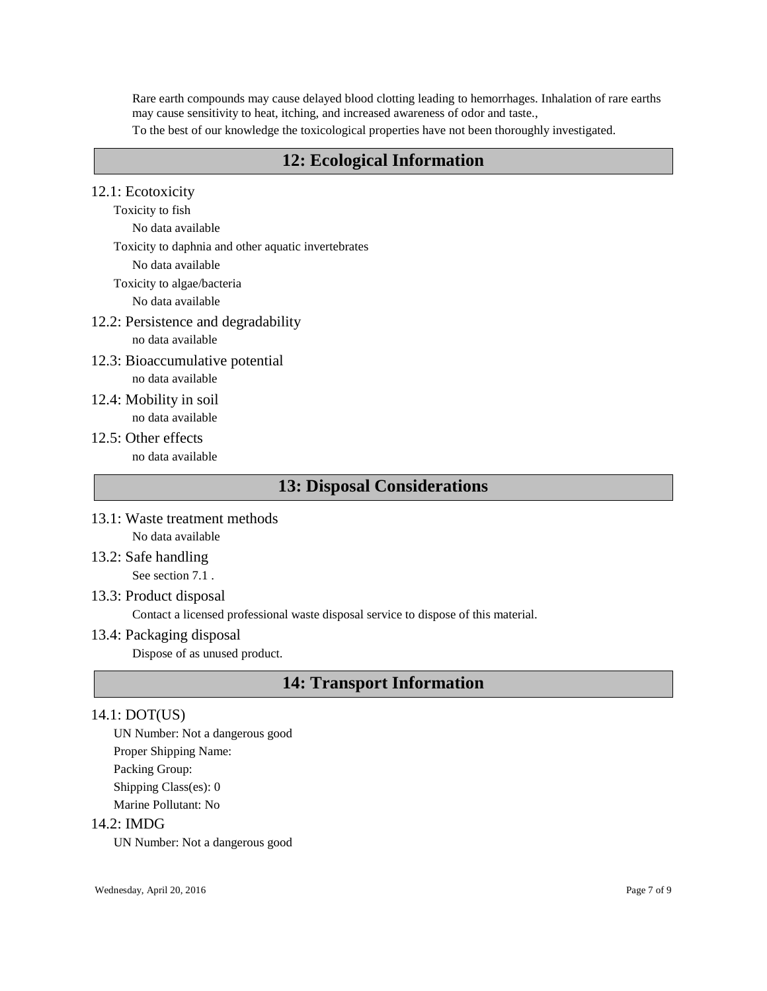Rare earth compounds may cause delayed blood clotting leading to hemorrhages. Inhalation of rare earths may cause sensitivity to heat, itching, and increased awareness of odor and taste.,

To the best of our knowledge the toxicological properties have not been thoroughly investigated.

# **12: Ecological Information**

# 12.1: Ecotoxicity

Toxicity to fish

No data available

- Toxicity to daphnia and other aquatic invertebrates
	- No data available

Toxicity to algae/bacteria

No data available

12.2: Persistence and degradability

no data available

- 12.3: Bioaccumulative potential no data available
- 12.4: Mobility in soil no data available
- 12.5: Other effects no data available

# **13: Disposal Considerations**

- 13.1: Waste treatment methods No data available
- 13.2: Safe handling

See section 7.1 .

13.3: Product disposal

Contact a licensed professional waste disposal service to dispose of this material.

13.4: Packaging disposal

Dispose of as unused product.

# **14: Transport Information**

# 14.1: DOT(US)

UN Number: Not a dangerous good Proper Shipping Name: Packing Group: Shipping Class(es): 0 Marine Pollutant: No

### 14.2: IMDG

UN Number: Not a dangerous good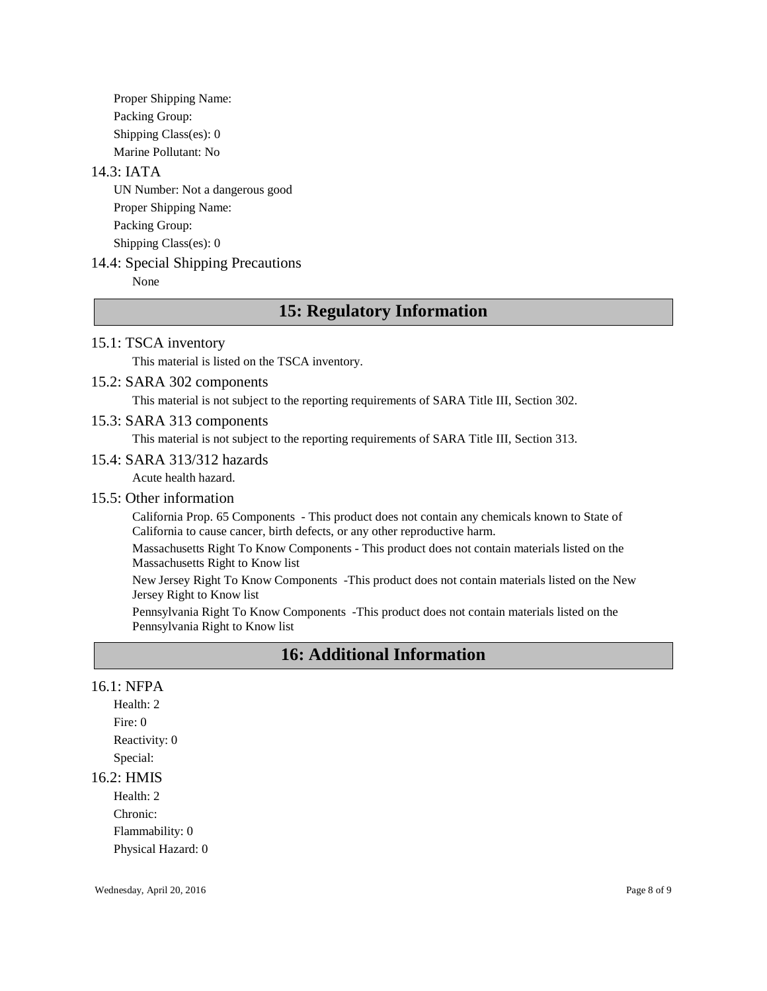Proper Shipping Name: Packing Group: Shipping Class(es): 0 Marine Pollutant: No

### 14.3: IATA

UN Number: Not a dangerous good Proper Shipping Name: Packing Group: Shipping Class(es): 0

### 14.4: Special Shipping Precautions

None

# **15: Regulatory Information**

### 15.1: TSCA inventory

This material is listed on the TSCA inventory.

#### 15.2: SARA 302 components

This material is not subject to the reporting requirements of SARA Title III, Section 302.

#### 15.3: SARA 313 components

This material is not subject to the reporting requirements of SARA Title III, Section 313.

#### 15.4: SARA 313/312 hazards

Acute health hazard.

#### 15.5: Other information

California Prop. 65 Components - This product does not contain any chemicals known to State of California to cause cancer, birth defects, or any other reproductive harm.

Massachusetts Right To Know Components - This product does not contain materials listed on the Massachusetts Right to Know list

New Jersey Right To Know Components -This product does not contain materials listed on the New Jersey Right to Know list

Pennsylvania Right To Know Components -This product does not contain materials listed on the Pennsylvania Right to Know list

# **16: Additional Information**

#### 16.1: NFPA

Health: 2 Fire: 0 Reactivity: 0 Special:

#### 16.2: HMIS

Health: 2 Chronic: Flammability: 0 Physical Hazard: 0